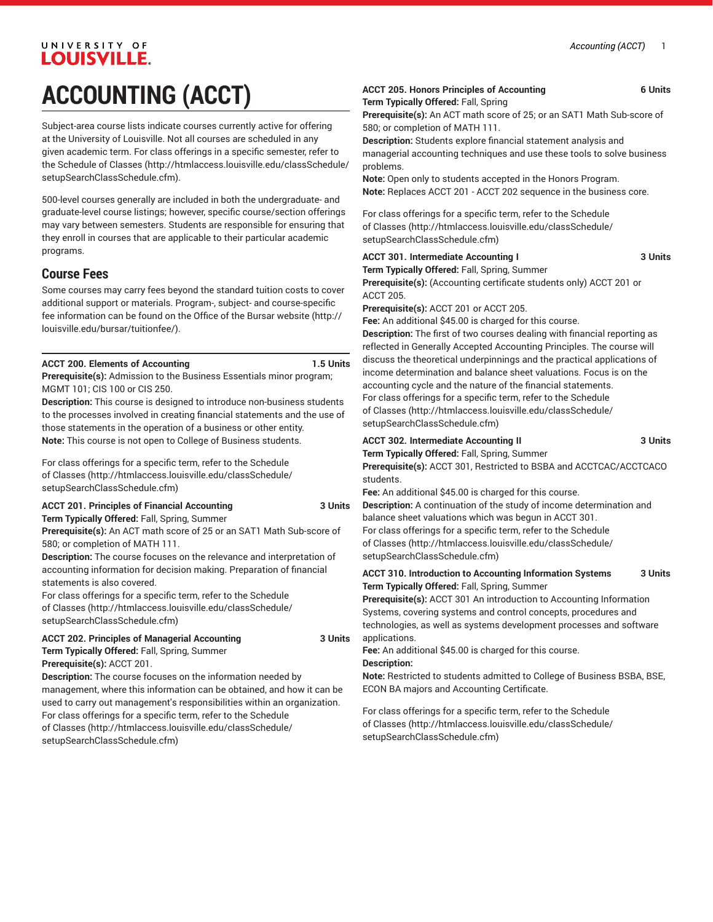### UNIVERSITY OF LOUISVILLE. **ACCOUNTING (ACCT)**

Subject-area course lists indicate courses currently active for offering at the University of Louisville. Not all courses are scheduled in any given academic term. For class offerings in a specific semester, refer to the [Schedule of Classes](http://htmlaccess.louisville.edu/classSchedule/setupSearchClassSchedule.cfm) ([http://htmlaccess.louisville.edu/classSchedule/](http://htmlaccess.louisville.edu/classSchedule/setupSearchClassSchedule.cfm) [setupSearchClassSchedule.cfm\)](http://htmlaccess.louisville.edu/classSchedule/setupSearchClassSchedule.cfm).

500-level courses generally are included in both the undergraduate- and graduate-level course listings; however, specific course/section offerings may vary between semesters. Students are responsible for ensuring that they enroll in courses that are applicable to their particular academic programs.

#### **Course Fees**

Some courses may carry fees beyond the standard tuition costs to cover additional support or materials. Program-, subject- and course-specific fee information can be found on the [Office of the Bursar website](http://louisville.edu/bursar/tuitionfee/) ([http://](http://louisville.edu/bursar/tuitionfee/) [louisville.edu/bursar/tuitionfee/](http://louisville.edu/bursar/tuitionfee/)).

#### **ACCT 200. Elements of Accounting 1.5 Units**

**Prerequisite(s):** Admission to the Business Essentials minor program; MGMT 101; CIS 100 or CIS 250.

**Description:** This course is designed to introduce non-business students to the processes involved in creating financial statements and the use of those statements in the operation of a business or other entity. **Note:** This course is not open to College of Business students.

For class offerings for a specific term, refer to the [Schedule](http://htmlaccess.louisville.edu/classSchedule/setupSearchClassSchedule.cfm) [of Classes \(http://htmlaccess.louisville.edu/classSchedule/](http://htmlaccess.louisville.edu/classSchedule/setupSearchClassSchedule.cfm) [setupSearchClassSchedule.cfm\)](http://htmlaccess.louisville.edu/classSchedule/setupSearchClassSchedule.cfm)

#### **ACCT 201. Principles of Financial Accounting 3 Units**

**Term Typically Offered:** Fall, Spring, Summer **Prerequisite(s):** An ACT math score of 25 or an SAT1 Math Sub-score of 580; or completion of MATH 111.

**Description:** The course focuses on the relevance and interpretation of accounting information for decision making. Preparation of financial statements is also covered.

For class offerings for a specific term, refer to the [Schedule](http://htmlaccess.louisville.edu/classSchedule/setupSearchClassSchedule.cfm) [of Classes \(http://htmlaccess.louisville.edu/classSchedule/](http://htmlaccess.louisville.edu/classSchedule/setupSearchClassSchedule.cfm) [setupSearchClassSchedule.cfm\)](http://htmlaccess.louisville.edu/classSchedule/setupSearchClassSchedule.cfm)

#### **ACCT 202. Principles of Managerial Accounting 3 Units Term Typically Offered:** Fall, Spring, Summer

**Prerequisite(s):** ACCT 201. **Description:** The course focuses on the information needed by management, where this information can be obtained, and how it can be used to carry out management's responsibilities within an organization. For class offerings for a specific term, refer to the [Schedule](http://htmlaccess.louisville.edu/classSchedule/setupSearchClassSchedule.cfm) [of Classes \(http://htmlaccess.louisville.edu/classSchedule/](http://htmlaccess.louisville.edu/classSchedule/setupSearchClassSchedule.cfm) [setupSearchClassSchedule.cfm\)](http://htmlaccess.louisville.edu/classSchedule/setupSearchClassSchedule.cfm)

#### **ACCT 205. Honors Principles of Accounting 6 Units Term Typically Offered:** Fall, Spring

**Prerequisite(s):** An ACT math score of 25; or an SAT1 Math Sub-score of 580; or completion of MATH 111.

**Description:** Students explore financial statement analysis and managerial accounting techniques and use these tools to solve business problems.

**Note:** Open only to students accepted in the Honors Program. **Note:** Replaces ACCT 201 - ACCT 202 sequence in the business core.

For class offerings for a specific term, refer to the [Schedule](http://htmlaccess.louisville.edu/classSchedule/setupSearchClassSchedule.cfm) [of Classes](http://htmlaccess.louisville.edu/classSchedule/setupSearchClassSchedule.cfm) ([http://htmlaccess.louisville.edu/classSchedule/](http://htmlaccess.louisville.edu/classSchedule/setupSearchClassSchedule.cfm) [setupSearchClassSchedule.cfm\)](http://htmlaccess.louisville.edu/classSchedule/setupSearchClassSchedule.cfm)

### **ACCT 301. Intermediate Accounting I 3 Units**

**Term Typically Offered:** Fall, Spring, Summer

**Prerequisite(s):** (Accounting certificate students only) ACCT 201 or ACCT 205.

**Prerequisite(s):** ACCT 201 or ACCT 205.

**Fee:** An additional \$45.00 is charged for this course.

**Description:** The first of two courses dealing with financial reporting as reflected in Generally Accepted Accounting Principles. The course will discuss the theoretical underpinnings and the practical applications of income determination and balance sheet valuations. Focus is on the accounting cycle and the nature of the financial statements. For class offerings for a specific term, refer to the [Schedule](http://htmlaccess.louisville.edu/classSchedule/setupSearchClassSchedule.cfm) [of Classes](http://htmlaccess.louisville.edu/classSchedule/setupSearchClassSchedule.cfm) ([http://htmlaccess.louisville.edu/classSchedule/](http://htmlaccess.louisville.edu/classSchedule/setupSearchClassSchedule.cfm) [setupSearchClassSchedule.cfm\)](http://htmlaccess.louisville.edu/classSchedule/setupSearchClassSchedule.cfm)

#### **ACCT 302. Intermediate Accounting II 3 Units**

**Term Typically Offered:** Fall, Spring, Summer

**Prerequisite(s):** ACCT 301, Restricted to BSBA and ACCTCAC/ACCTCACO students.

**Fee:** An additional \$45.00 is charged for this course.

**Description:** A continuation of the study of income determination and balance sheet valuations which was begun in ACCT 301. For class offerings for a specific term, refer to the [Schedule](http://htmlaccess.louisville.edu/classSchedule/setupSearchClassSchedule.cfm) [of Classes](http://htmlaccess.louisville.edu/classSchedule/setupSearchClassSchedule.cfm) ([http://htmlaccess.louisville.edu/classSchedule/](http://htmlaccess.louisville.edu/classSchedule/setupSearchClassSchedule.cfm) [setupSearchClassSchedule.cfm\)](http://htmlaccess.louisville.edu/classSchedule/setupSearchClassSchedule.cfm)

**ACCT 310. Introduction to Accounting Information Systems 3 Units Term Typically Offered:** Fall, Spring, Summer

**Prerequisite(s):** ACCT 301 An introduction to Accounting Information Systems, covering systems and control concepts, procedures and technologies, as well as systems development processes and software applications.

**Fee:** An additional \$45.00 is charged for this course.

#### **Description:**

**Note:** Restricted to students admitted to College of Business BSBA, BSE, ECON BA majors and Accounting Certificate.

For class offerings for a specific term, refer to the [Schedule](http://htmlaccess.louisville.edu/classSchedule/setupSearchClassSchedule.cfm) [of Classes](http://htmlaccess.louisville.edu/classSchedule/setupSearchClassSchedule.cfm) ([http://htmlaccess.louisville.edu/classSchedule/](http://htmlaccess.louisville.edu/classSchedule/setupSearchClassSchedule.cfm) [setupSearchClassSchedule.cfm\)](http://htmlaccess.louisville.edu/classSchedule/setupSearchClassSchedule.cfm)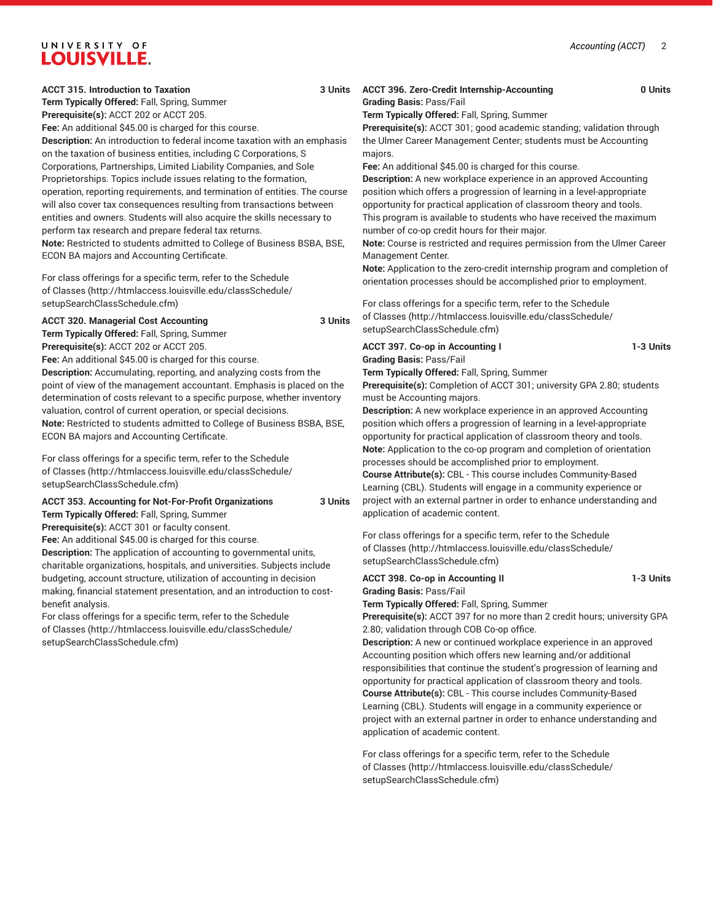### UNIVERSITY OF **LOUISVILLE.**

**ACCT 315. Introduction to Taxation 3 Units**

**Term Typically Offered:** Fall, Spring, Summer

**Prerequisite(s):** ACCT 202 or ACCT 205.

Fee: An additional \$45.00 is charged for this course.

**Description:** An introduction to federal income taxation with an emphasis on the taxation of business entities, including C Corporations, S Corporations, Partnerships, Limited Liability Companies, and Sole Proprietorships. Topics include issues relating to the formation, operation, reporting requirements, and termination of entities. The course will also cover tax consequences resulting from transactions between entities and owners. Students will also acquire the skills necessary to perform tax research and prepare federal tax returns. **Note:** Restricted to students admitted to College of Business BSBA, BSE, ECON BA majors and Accounting Certificate.

For class offerings for a specific term, refer to the [Schedule](http://htmlaccess.louisville.edu/classSchedule/setupSearchClassSchedule.cfm) [of Classes \(http://htmlaccess.louisville.edu/classSchedule/](http://htmlaccess.louisville.edu/classSchedule/setupSearchClassSchedule.cfm) [setupSearchClassSchedule.cfm\)](http://htmlaccess.louisville.edu/classSchedule/setupSearchClassSchedule.cfm)

**ACCT 320. Managerial Cost Accounting 3 Units Term Typically Offered:** Fall, Spring, Summer **Prerequisite(s):** ACCT 202 or ACCT 205.

**Fee:** An additional \$45.00 is charged for this course.

**Description:** Accumulating, reporting, and analyzing costs from the point of view of the management accountant. Emphasis is placed on the determination of costs relevant to a specific purpose, whether inventory valuation, control of current operation, or special decisions. **Note:** Restricted to students admitted to College of Business BSBA, BSE, ECON BA majors and Accounting Certificate.

For class offerings for a specific term, refer to the [Schedule](http://htmlaccess.louisville.edu/classSchedule/setupSearchClassSchedule.cfm) [of Classes \(http://htmlaccess.louisville.edu/classSchedule/](http://htmlaccess.louisville.edu/classSchedule/setupSearchClassSchedule.cfm) [setupSearchClassSchedule.cfm\)](http://htmlaccess.louisville.edu/classSchedule/setupSearchClassSchedule.cfm)

**ACCT 353. Accounting for Not-For-Profit Organizations 3 Units**

**Term Typically Offered:** Fall, Spring, Summer

**Prerequisite(s):** ACCT 301 or faculty consent.

**Fee:** An additional \$45.00 is charged for this course.

**Description:** The application of accounting to governmental units, charitable organizations, hospitals, and universities. Subjects include budgeting, account structure, utilization of accounting in decision making, financial statement presentation, and an introduction to costbenefit analysis.

For class offerings for a specific term, refer to the [Schedule](http://htmlaccess.louisville.edu/classSchedule/setupSearchClassSchedule.cfm) [of Classes \(http://htmlaccess.louisville.edu/classSchedule/](http://htmlaccess.louisville.edu/classSchedule/setupSearchClassSchedule.cfm) [setupSearchClassSchedule.cfm\)](http://htmlaccess.louisville.edu/classSchedule/setupSearchClassSchedule.cfm)

**ACCT 396. Zero-Credit Internship-Accounting 0 Units Grading Basis:** Pass/Fail

**Term Typically Offered:** Fall, Spring, Summer

**Prerequisite(s):** ACCT 301; good academic standing; validation through the Ulmer Career Management Center; students must be Accounting majors.

**Fee:** An additional \$45.00 is charged for this course.

**Description:** A new workplace experience in an approved Accounting position which offers a progression of learning in a level-appropriate opportunity for practical application of classroom theory and tools. This program is available to students who have received the maximum

number of co-op credit hours for their major.

**Note:** Course is restricted and requires permission from the Ulmer Career Management Center.

**Note:** Application to the zero-credit internship program and completion of orientation processes should be accomplished prior to employment.

For class offerings for a specific term, refer to the [Schedule](http://htmlaccess.louisville.edu/classSchedule/setupSearchClassSchedule.cfm) [of Classes](http://htmlaccess.louisville.edu/classSchedule/setupSearchClassSchedule.cfm) ([http://htmlaccess.louisville.edu/classSchedule/](http://htmlaccess.louisville.edu/classSchedule/setupSearchClassSchedule.cfm) [setupSearchClassSchedule.cfm\)](http://htmlaccess.louisville.edu/classSchedule/setupSearchClassSchedule.cfm)

**ACCT 397. Co-op in Accounting I 1-3 Units Grading Basis:** Pass/Fail

**Term Typically Offered:** Fall, Spring, Summer

**Prerequisite(s):** Completion of ACCT 301; university GPA 2.80; students must be Accounting majors.

**Description:** A new workplace experience in an approved Accounting position which offers a progression of learning in a level-appropriate opportunity for practical application of classroom theory and tools. **Note:** Application to the co-op program and completion of orientation processes should be accomplished prior to employment. **Course Attribute(s):** CBL - This course includes Community-Based Learning (CBL). Students will engage in a community experience or project with an external partner in order to enhance understanding and application of academic content.

For class offerings for a specific term, refer to the [Schedule](http://htmlaccess.louisville.edu/classSchedule/setupSearchClassSchedule.cfm) [of Classes](http://htmlaccess.louisville.edu/classSchedule/setupSearchClassSchedule.cfm) ([http://htmlaccess.louisville.edu/classSchedule/](http://htmlaccess.louisville.edu/classSchedule/setupSearchClassSchedule.cfm) [setupSearchClassSchedule.cfm\)](http://htmlaccess.louisville.edu/classSchedule/setupSearchClassSchedule.cfm)

**ACCT 398. Co-op in Accounting II 1-3 Units Grading Basis:** Pass/Fail **Term Typically Offered:** Fall, Spring, Summer **Prerequisite(s):** ACCT 397 for no more than 2 credit hours; university GPA

2.80; validation through COB Co-op office. **Description:** A new or continued workplace experience in an approved Accounting position which offers new learning and/or additional responsibilities that continue the student's progression of learning and opportunity for practical application of classroom theory and tools. **Course Attribute(s):** CBL - This course includes Community-Based Learning (CBL). Students will engage in a community experience or project with an external partner in order to enhance understanding and application of academic content.

For class offerings for a specific term, refer to the [Schedule](http://htmlaccess.louisville.edu/classSchedule/setupSearchClassSchedule.cfm) [of Classes](http://htmlaccess.louisville.edu/classSchedule/setupSearchClassSchedule.cfm) ([http://htmlaccess.louisville.edu/classSchedule/](http://htmlaccess.louisville.edu/classSchedule/setupSearchClassSchedule.cfm) [setupSearchClassSchedule.cfm\)](http://htmlaccess.louisville.edu/classSchedule/setupSearchClassSchedule.cfm)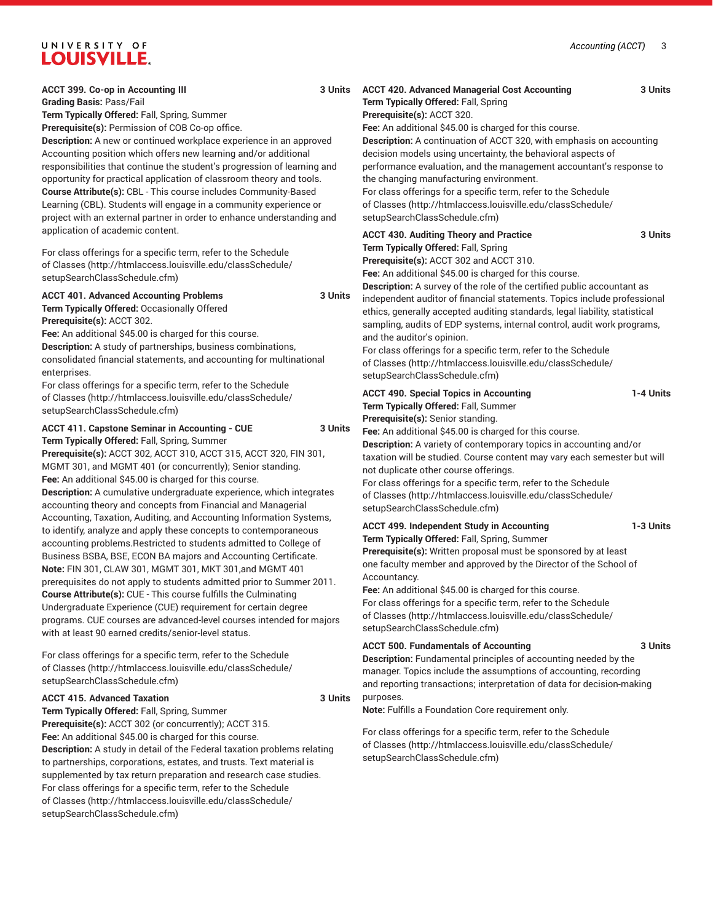## UNIVERSITY OF LOUISVILLE.

| ACCT 399. Co-op in Accounting III<br>3 Units<br><b>Grading Basis: Pass/Fail</b><br>Term Typically Offered: Fall, Spring, Summer<br>Prerequisite(s): Permission of COB Co-op office.<br>Description: A new or continued workplace experience in an approved<br>Accounting position which offers new learning and/or additional<br>responsibilities that continue the student's progression of learning and<br>opportunity for practical application of classroom theory and tools.<br>Course Attribute(s): CBL - This course includes Community-Based<br>Learning (CBL). Students will engage in a community experience or<br>project with an external partner in order to enhance understanding and<br>application of academic content.                                                                                                                                                                                                                                                                                                                                                   | 3 Units<br><b>ACCT 420. Advanced Managerial Cost Accounting</b><br>Term Typically Offered: Fall, Spring<br>Prerequisite(s): ACCT 320.<br>Fee: An additional \$45.00 is charged for this course.<br>Description: A continuation of ACCT 320, with emphasis on accounting<br>decision models using uncertainty, the behavioral aspects of<br>performance evaluation, and the management accountant's response to<br>the changing manufacturing environment.<br>For class offerings for a specific term, refer to the Schedule<br>of Classes (http://htmlaccess.louisville.edu/classSchedule/<br>setupSearchClassSchedule.cfm)                                                                                                                                                                                                                                                            |
|-------------------------------------------------------------------------------------------------------------------------------------------------------------------------------------------------------------------------------------------------------------------------------------------------------------------------------------------------------------------------------------------------------------------------------------------------------------------------------------------------------------------------------------------------------------------------------------------------------------------------------------------------------------------------------------------------------------------------------------------------------------------------------------------------------------------------------------------------------------------------------------------------------------------------------------------------------------------------------------------------------------------------------------------------------------------------------------------|----------------------------------------------------------------------------------------------------------------------------------------------------------------------------------------------------------------------------------------------------------------------------------------------------------------------------------------------------------------------------------------------------------------------------------------------------------------------------------------------------------------------------------------------------------------------------------------------------------------------------------------------------------------------------------------------------------------------------------------------------------------------------------------------------------------------------------------------------------------------------------------|
| For class offerings for a specific term, refer to the Schedule<br>of Classes (http://htmlaccess.louisville.edu/classSchedule/<br>setupSearchClassSchedule.cfm)                                                                                                                                                                                                                                                                                                                                                                                                                                                                                                                                                                                                                                                                                                                                                                                                                                                                                                                            | <b>ACCT 430. Auditing Theory and Practice</b><br>3 Units<br>Term Typically Offered: Fall, Spring<br>Prerequisite(s): ACCT 302 and ACCT 310.<br>Fee: An additional \$45.00 is charged for this course.<br>Description: A survey of the role of the certified public accountant as                                                                                                                                                                                                                                                                                                                                                                                                                                                                                                                                                                                                       |
| <b>ACCT 401. Advanced Accounting Problems</b><br>3 Units<br>Term Typically Offered: Occasionally Offered<br>Prerequisite(s): ACCT 302.<br>Fee: An additional \$45.00 is charged for this course.<br>Description: A study of partnerships, business combinations,<br>consolidated financial statements, and accounting for multinational<br>enterprises.<br>For class offerings for a specific term, refer to the Schedule                                                                                                                                                                                                                                                                                                                                                                                                                                                                                                                                                                                                                                                                 | independent auditor of financial statements. Topics include professional<br>ethics, generally accepted auditing standards, legal liability, statistical<br>sampling, audits of EDP systems, internal control, audit work programs,<br>and the auditor's opinion.<br>For class offerings for a specific term, refer to the Schedule<br>of Classes (http://htmlaccess.louisville.edu/classSchedule/<br>setupSearchClassSchedule.cfm)                                                                                                                                                                                                                                                                                                                                                                                                                                                     |
| of Classes (http://htmlaccess.louisville.edu/classSchedule/<br>setupSearchClassSchedule.cfm)                                                                                                                                                                                                                                                                                                                                                                                                                                                                                                                                                                                                                                                                                                                                                                                                                                                                                                                                                                                              | <b>ACCT 490. Special Topics in Accounting</b><br>1-4 Units<br>Term Typically Offered: Fall, Summer<br>Prerequisite(s): Senior standing.                                                                                                                                                                                                                                                                                                                                                                                                                                                                                                                                                                                                                                                                                                                                                |
| ACCT 411. Capstone Seminar in Accounting - CUE<br>3 Units<br>Term Typically Offered: Fall, Spring, Summer<br>Prerequisite(s): ACCT 302, ACCT 310, ACCT 315, ACCT 320, FIN 301,<br>MGMT 301, and MGMT 401 (or concurrently); Senior standing.<br>Fee: An additional \$45.00 is charged for this course.<br>Description: A cumulative undergraduate experience, which integrates<br>accounting theory and concepts from Financial and Managerial<br>Accounting, Taxation, Auditing, and Accounting Information Systems,<br>to identify, analyze and apply these concepts to contemporaneous<br>accounting problems. Restricted to students admitted to College of<br>Business BSBA, BSE, ECON BA majors and Accounting Certificate.<br>Note: FIN 301, CLAW 301, MGMT 301, MKT 301, and MGMT 401<br>prerequisites do not apply to students admitted prior to Summer 2011.<br><b>Course Attribute(s): CUE - This course fulfills the Culminating</b><br>Undergraduate Experience (CUE) requirement for certain degree<br>programs. CUE courses are advanced-level courses intended for majors | Fee: An additional \$45.00 is charged for this course.<br>Description: A variety of contemporary topics in accounting and/or<br>taxation will be studied. Course content may vary each semester but will<br>not duplicate other course offerings.<br>For class offerings for a specific term, refer to the Schedule<br>of Classes (http://htmlaccess.louisville.edu/classSchedule/<br>setupSearchClassSchedule.cfm)<br><b>ACCT 499. Independent Study in Accounting</b><br>1-3 Units<br>Term Typically Offered: Fall, Spring, Summer<br>Prerequisite(s): Written proposal must be sponsored by at least<br>one faculty member and approved by the Director of the School of<br>Accountancy.<br>Fee: An additional \$45.00 is charged for this course.<br>For class offerings for a specific term, refer to the Schedule<br>of Classes (http://htmlaccess.louisville.edu/classSchedule/ |
| with at least 90 earned credits/senior-level status.                                                                                                                                                                                                                                                                                                                                                                                                                                                                                                                                                                                                                                                                                                                                                                                                                                                                                                                                                                                                                                      | setupSearchClassSchedule.cfm)<br><b>ACCT 500. Fundamentals of Accounting</b><br>3 Units                                                                                                                                                                                                                                                                                                                                                                                                                                                                                                                                                                                                                                                                                                                                                                                                |
| For class offerings for a specific term, refer to the Schedule<br>of Classes (http://htmlaccess.louisville.edu/classSchedule/<br>setupSearchClassSchedule.cfm)                                                                                                                                                                                                                                                                                                                                                                                                                                                                                                                                                                                                                                                                                                                                                                                                                                                                                                                            | Description: Fundamental principles of accounting needed by the<br>manager. Topics include the assumptions of accounting, recording<br>and reporting transactions; interpretation of data for decision-making                                                                                                                                                                                                                                                                                                                                                                                                                                                                                                                                                                                                                                                                          |
| <b>ACCT 415. Advanced Taxation</b><br>3 Units                                                                                                                                                                                                                                                                                                                                                                                                                                                                                                                                                                                                                                                                                                                                                                                                                                                                                                                                                                                                                                             | purposes.                                                                                                                                                                                                                                                                                                                                                                                                                                                                                                                                                                                                                                                                                                                                                                                                                                                                              |
| Term Typically Offered: Fall, Spring, Summer                                                                                                                                                                                                                                                                                                                                                                                                                                                                                                                                                                                                                                                                                                                                                                                                                                                                                                                                                                                                                                              | Note: Fulfills a Foundation Core requirement only.                                                                                                                                                                                                                                                                                                                                                                                                                                                                                                                                                                                                                                                                                                                                                                                                                                     |
| Prerequisite(s): ACCT 302 (or concurrently); ACCT 315.                                                                                                                                                                                                                                                                                                                                                                                                                                                                                                                                                                                                                                                                                                                                                                                                                                                                                                                                                                                                                                    |                                                                                                                                                                                                                                                                                                                                                                                                                                                                                                                                                                                                                                                                                                                                                                                                                                                                                        |
| Fee: An additional \$45.00 is charged for this course.<br>Description: A study in detail of the Federal taxation problems relating<br>to partnerships, corporations, estates, and trusts. Text material is<br>supplemented by tax return preparation and research case studies.                                                                                                                                                                                                                                                                                                                                                                                                                                                                                                                                                                                                                                                                                                                                                                                                           | For class offerings for a specific term, refer to the Schedule<br>of Classes (http://htmlaccess.louisville.edu/classSchedule/<br>setupSearchClassSchedule.cfm)                                                                                                                                                                                                                                                                                                                                                                                                                                                                                                                                                                                                                                                                                                                         |
| For class offerings for a specific term, refer to the Schedule<br>of Classes (http://htmlaccess.louisville.edu/classSchedule/                                                                                                                                                                                                                                                                                                                                                                                                                                                                                                                                                                                                                                                                                                                                                                                                                                                                                                                                                             |                                                                                                                                                                                                                                                                                                                                                                                                                                                                                                                                                                                                                                                                                                                                                                                                                                                                                        |

[setupSearchClassSchedule.cfm\)](http://htmlaccess.louisville.edu/classSchedule/setupSearchClassSchedule.cfm)